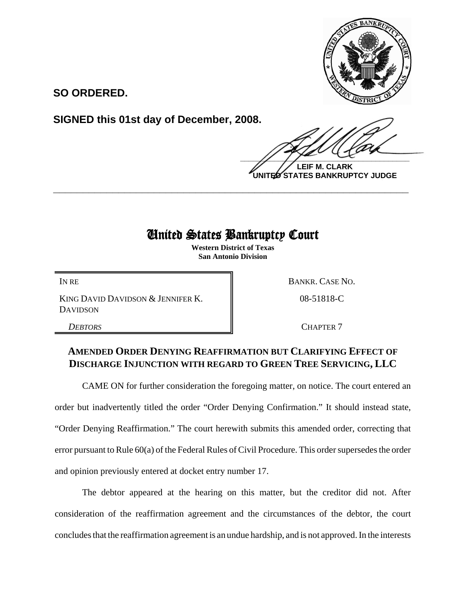

**SO ORDERED.**

**SIGNED this 01st day of December, 2008.**

 $\frac{1}{2}$ 

**LEIF M. CLARK UNITED STATES BANKRUPTCY JUDGE**

## United States Bankruptcy Court

**\_\_\_\_\_\_\_\_\_\_\_\_\_\_\_\_\_\_\_\_\_\_\_\_\_\_\_\_\_\_\_\_\_\_\_\_\_\_\_\_\_\_\_\_\_\_\_\_\_\_\_\_\_\_\_\_\_\_\_\_**

**Western District of Texas San Antonio Division**

KING DAVID DAVIDSON & JENNIFER K. DAVIDSON

IN RE BANKR. CASE NO.

08-51818-C

**DEBTORS** CHAPTER 7

## **AMENDED ORDER DENYING REAFFIRMATION BUT CLARIFYING EFFECT OF DISCHARGE INJUNCTION WITH REGARD TO GREEN TREE SERVICING, LLC**

CAME ON for further consideration the foregoing matter, on notice. The court entered an order but inadvertently titled the order "Order Denying Confirmation." It should instead state, "Order Denying Reaffirmation." The court herewith submits this amended order, correcting that error pursuant to Rule 60(a) of the Federal Rules of Civil Procedure. This order supersedes the order and opinion previously entered at docket entry number 17.

The debtor appeared at the hearing on this matter, but the creditor did not. After consideration of the reaffirmation agreement and the circumstances of the debtor, the court concludes that the reaffirmation agreement is an undue hardship, and is not approved. In the interests